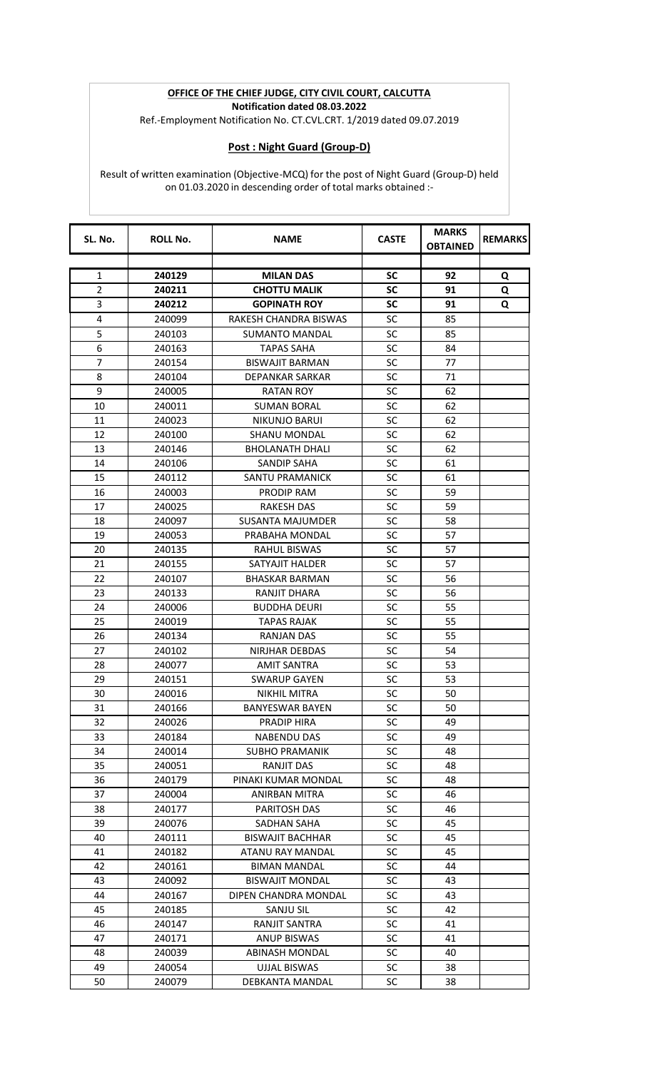## **OFFICE OF THE CHIEF JUDGE, CITY CIVIL COURT, CALCUTTA Notification dated 08.03.2022**

Ref.-Employment Notification No. CT.CVL.CRT. 1/2019 dated 09.07.2019

## **Post : Night Guard (Group-D)**

Result of written examination (Objective-MCQ) for the post of Night Guard (Group-D) held on 01.03.2020 in descending order of total marks obtained :-

| SL. No.        | <b>ROLL No.</b> | <b>NAME</b>             | <b>CASTE</b> | <b>MARKS</b><br><b>OBTAINED</b> | <b>REMARKS</b> |
|----------------|-----------------|-------------------------|--------------|---------------------------------|----------------|
|                |                 |                         |              |                                 |                |
| $\mathbf{1}$   | 240129          | <b>MILAN DAS</b>        | <b>SC</b>    | 92                              | Q              |
| $\overline{2}$ | 240211          | <b>CHOTTU MALIK</b>     | SC           | 91                              | Q              |
| 3              | 240212          | <b>GOPINATH ROY</b>     | <b>SC</b>    | 91                              | Q              |
| 4              | 240099          | RAKESH CHANDRA BISWAS   | <b>SC</b>    | 85                              |                |
| 5              | 240103          | SUMANTO MANDAL          | <b>SC</b>    | 85                              |                |
| 6              | 240163          | TAPAS SAHA              | SC           | 84                              |                |
| $\overline{7}$ | 240154          | <b>BISWAJIT BARMAN</b>  | <b>SC</b>    | 77                              |                |
| 8              | 240104          | DEPANKAR SARKAR         | SC           | 71                              |                |
| 9              | 240005          | RATAN ROY               | <b>SC</b>    | 62                              |                |
| 10             | 240011          | <b>SUMAN BORAL</b>      | SC           | 62                              |                |
| 11             | 240023          | <b>NIKUNJO BARUI</b>    | <b>SC</b>    | 62                              |                |
| 12             | 240100          | <b>SHANU MONDAL</b>     | <b>SC</b>    | 62                              |                |
| 13             | 240146          | <b>BHOLANATH DHALI</b>  | <b>SC</b>    | 62                              |                |
| 14             | 240106          | SANDIP SAHA             | <b>SC</b>    | 61                              |                |
| 15             | 240112          | <b>SANTU PRAMANICK</b>  | <b>SC</b>    | 61                              |                |
| 16             | 240003          | PRODIP RAM              | SC           | 59                              |                |
| 17             | 240025          | RAKESH DAS              | <b>SC</b>    | 59                              |                |
| 18             | 240097          | <b>SUSANTA MAJUMDER</b> | <b>SC</b>    | 58                              |                |
| 19             | 240053          | PRABAHA MONDAL          | <b>SC</b>    | 57                              |                |
| 20             | 240135          | <b>RAHUL BISWAS</b>     | <b>SC</b>    | 57                              |                |
| 21             | 240155          | SATYAJIT HALDER         | <b>SC</b>    | 57                              |                |
| 22             | 240107          | <b>BHASKAR BARMAN</b>   | SC           | 56                              |                |
| 23             | 240133          | RANJIT DHARA            | SC           | 56                              |                |
| 24             | 240006          | <b>BUDDHA DEURI</b>     | SC           | 55                              |                |
| 25             | 240019          | <b>TAPAS RAJAK</b>      | SC           | 55                              |                |
| 26             | 240134          | RANJAN DAS              | SC           | 55                              |                |
| 27             | 240102          | NIRJHAR DEBDAS          | SC           | 54                              |                |
| 28             | 240077          | AMIT SANTRA             | <b>SC</b>    | 53                              |                |
| 29             | 240151          | <b>SWARUP GAYEN</b>     | SC           | 53                              |                |
| 30             | 240016          | NIKHIL MITRA            | SC           | 50                              |                |
| 31             | 240166          | <b>BANYESWAR BAYEN</b>  | SC           | 50                              |                |
| 32             | 240026          | PRADIP HIRA             | <b>SC</b>    | 49                              |                |
| 33             | 240184          | <b>NABENDU DAS</b>      | <b>SC</b>    | 49                              |                |
| 34             | 240014          | <b>SUBHO PRAMANIK</b>   | <b>SC</b>    | 48                              |                |
| 35             | 240051          | <b>RANJIT DAS</b>       | SC           | 48                              |                |
| 36             | 240179          | PINAKI KUMAR MONDAL     | <b>SC</b>    | 48                              |                |
| 37             | 240004          | <b>ANIRBAN MITRA</b>    | <b>SC</b>    | 46                              |                |
| 38             | 240177          | PARITOSH DAS            | <b>SC</b>    | 46                              |                |
| 39             | 240076          | SADHAN SAHA             | <b>SC</b>    | 45                              |                |
| 40             | 240111          | <b>BISWAJIT BACHHAR</b> | <b>SC</b>    | 45                              |                |
| 41             | 240182          | ATANU RAY MANDAL        | <b>SC</b>    | 45                              |                |
| 42             | 240161          | <b>BIMAN MANDAL</b>     | <b>SC</b>    | 44                              |                |
| 43             | 240092          | <b>BISWAJIT MONDAL</b>  | SC           | 43                              |                |
| 44             | 240167          | DIPEN CHANDRA MONDAL    | SC           | 43                              |                |
| 45             | 240185          | <b>SANJU SIL</b>        | <b>SC</b>    | 42                              |                |
| 46             | 240147          | RANJIT SANTRA           | SC           | 41                              |                |
| 47             | 240171          | <b>ANUP BISWAS</b>      | SC           | 41                              |                |
| 48             | 240039          | <b>ABINASH MONDAL</b>   | SC           | 40                              |                |
| 49             | 240054          | UJJAL BISWAS            | <b>SC</b>    | 38                              |                |
| 50             | 240079          | DEBKANTA MANDAL         | SC           | 38                              |                |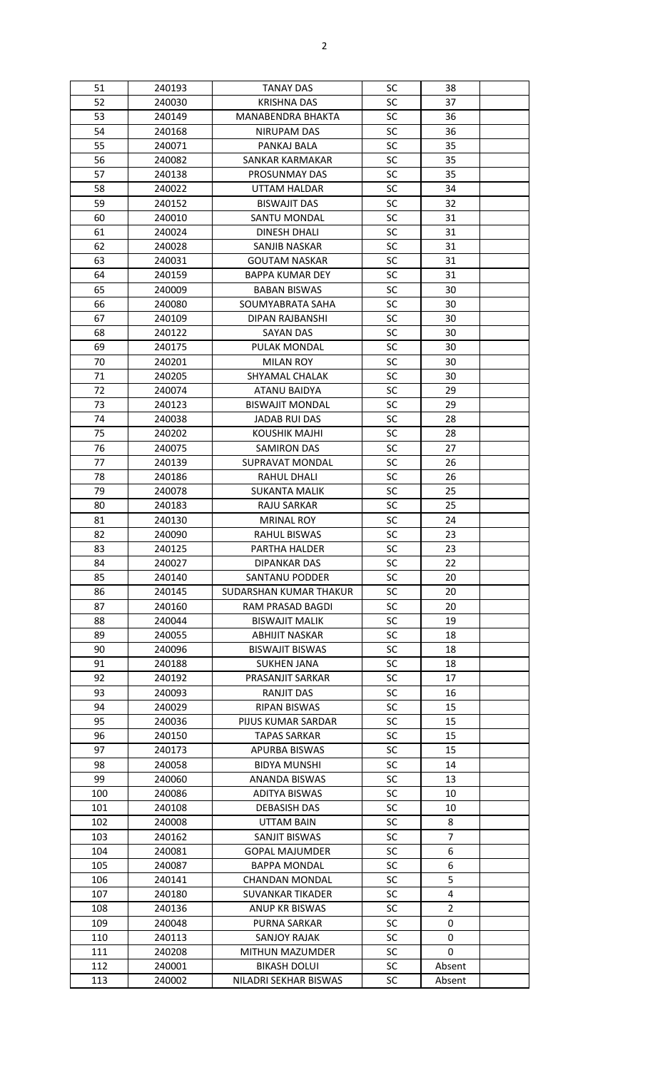| 51  | 240193           | <b>TANAY DAS</b>                             | SC              | 38               |  |
|-----|------------------|----------------------------------------------|-----------------|------------------|--|
| 52  | 240030           | <b>KRISHNA DAS</b>                           | SC              | 37               |  |
| 53  | 240149           | <b>MANABENDRA BHAKTA</b>                     | <b>SC</b>       | 36               |  |
| 54  | 240168           | NIRUPAM DAS                                  | SC              | 36               |  |
| 55  | 240071           | PANKAJ BALA                                  | <b>SC</b>       | 35               |  |
| 56  | 240082           | SANKAR KARMAKAR                              | SC              | 35               |  |
| 57  | 240138           | <b>PROSUNMAY DAS</b>                         | <b>SC</b>       | 35               |  |
| 58  | 240022           | <b>UTTAM HALDAR</b>                          | SC              | 34               |  |
| 59  | 240152           | <b>BISWAJIT DAS</b>                          | <b>SC</b>       | 32               |  |
| 60  | 240010           | SANTU MONDAL                                 | <b>SC</b>       | 31               |  |
| 61  | 240024           | <b>DINESH DHALI</b>                          | SC              | 31               |  |
| 62  | 240028           | SANJIB NASKAR                                | SC              | 31               |  |
| 63  | 240031           | <b>GOUTAM NASKAR</b>                         | <b>SC</b>       | 31               |  |
| 64  | 240159           | <b>BAPPA KUMAR DEY</b>                       | <b>SC</b>       | 31               |  |
| 65  | 240009           | <b>BABAN BISWAS</b>                          | SC              | 30               |  |
| 66  | 240080           | SOUMYABRATA SAHA                             | SC              | 30               |  |
| 67  | 240109           | DIPAN RAJBANSHI                              | SC              | 30               |  |
| 68  | 240122           | <b>SAYAN DAS</b>                             | SC              | 30               |  |
| 69  | 240175           | PULAK MONDAL                                 | SC              | 30               |  |
| 70  | 240201           | <b>MILAN ROY</b>                             | <b>SC</b>       | 30               |  |
| 71  | 240205           | <b>SHYAMAL CHALAK</b>                        | SC              | 30               |  |
| 72  | 240074           | ATANU BAIDYA                                 | SC              | 29               |  |
| 73  | 240123           | <b>BISWAJIT MONDAL</b>                       | SC              | 29               |  |
| 74  | 240038           | <b>JADAB RUI DAS</b>                         | SC              | 28               |  |
| 75  | 240202           | <b>KOUSHIK MAJHI</b>                         | SC              | 28               |  |
| 76  | 240075           | <b>SAMIRON DAS</b>                           | <b>SC</b>       | 27               |  |
| 77  | 240139           | SUPRAVAT MONDAL                              | SC              | 26               |  |
| 78  | 240186           | RAHUL DHALI                                  | <b>SC</b>       | 26               |  |
| 79  | 240078           | SUKANTA MALIK                                | <b>SC</b>       | 25               |  |
| 80  | 240183           | <b>RAJU SARKAR</b>                           | <b>SC</b>       | 25               |  |
| 81  | 240130           | <b>MRINAL ROY</b>                            | SC              | 24               |  |
| 82  | 240090           | <b>RAHUL BISWAS</b>                          | <b>SC</b>       | 23               |  |
| 83  | 240125           | PARTHA HALDER                                | SC              | 23               |  |
| 84  | 240027           | <b>DIPANKAR DAS</b>                          | <b>SC</b>       | 22               |  |
| 85  | 240140           | SANTANU PODDER                               | SC              | 20               |  |
| 86  | 240145           | SUDARSHAN KUMAR THAKUR                       | <b>SC</b>       | 20               |  |
| 87  | 240160           | RAM PRASAD BAGDI                             | <b>SC</b>       | 20               |  |
| 88  | 240044           | <b>BISWAJIT MALIK</b>                        | SC              | 19               |  |
| 89  | 240055           | <b>ABHIJIT NASKAR</b>                        | SC              | 18               |  |
| 90  | 240096           | <b>BISWAJIT BISWAS</b>                       | SC              | 18               |  |
| 91  | 240188           | <b>SUKHEN JANA</b>                           | SC              | 18               |  |
| 92  | 240192           | PRASANJIT SARKAR                             | SC              | 17               |  |
| 93  | 240093           | RANJIT DAS                                   | SC              | 16               |  |
| 94  | 240029           | <b>RIPAN BISWAS</b>                          | SC              | 15               |  |
| 95  | 240036           | PIJUS KUMAR SARDAR                           | <b>SC</b>       | 15               |  |
| 96  | 240150           | <b>TAPAS SARKAR</b>                          | SC              | 15               |  |
| 97  | 240173           | APURBA BISWAS                                | <b>SC</b>       | 15               |  |
| 98  | 240058           | <b>BIDYA MUNSHI</b>                          | SC              | 14               |  |
| 99  | 240060           | ANANDA BISWAS                                | <b>SC</b>       | 13               |  |
| 100 | 240086           | ADITYA BISWAS                                | <b>SC</b>       | 10               |  |
| 101 | 240108           | <b>DEBASISH DAS</b>                          | <b>SC</b>       | 10               |  |
| 102 | 240008           | UTTAM BAIN                                   | <b>SC</b>       | 8                |  |
| 103 | 240162           | SANJIT BISWAS                                | <b>SC</b>       | $\overline{7}$   |  |
| 104 | 240081           | <b>GOPAL MAJUMDER</b>                        | SC              | 6                |  |
| 105 | 240087           | <b>BAPPA MONDAL</b>                          | <b>SC</b>       | 6                |  |
| 106 | 240141           | CHANDAN MONDAL                               | <b>SC</b>       | 5                |  |
| 107 | 240180           | <b>SUVANKAR TIKADER</b>                      | <b>SC</b>       | 4                |  |
| 108 | 240136           | <b>ANUP KR BISWAS</b>                        | <b>SC</b>       | $\overline{2}$   |  |
| 109 | 240048           | <b>PURNA SARKAR</b>                          | <b>SC</b>       | 0                |  |
| 110 | 240113           | SANJOY RAJAK                                 | <b>SC</b>       | 0                |  |
| 111 | 240208           | MITHUN MAZUMDER                              | <b>SC</b>       | $\Omega$         |  |
| 112 |                  |                                              |                 |                  |  |
|     |                  |                                              |                 |                  |  |
| 113 | 240001<br>240002 | <b>BIKASH DOLUI</b><br>NILADRI SEKHAR BISWAS | <b>SC</b><br>SC | Absent<br>Absent |  |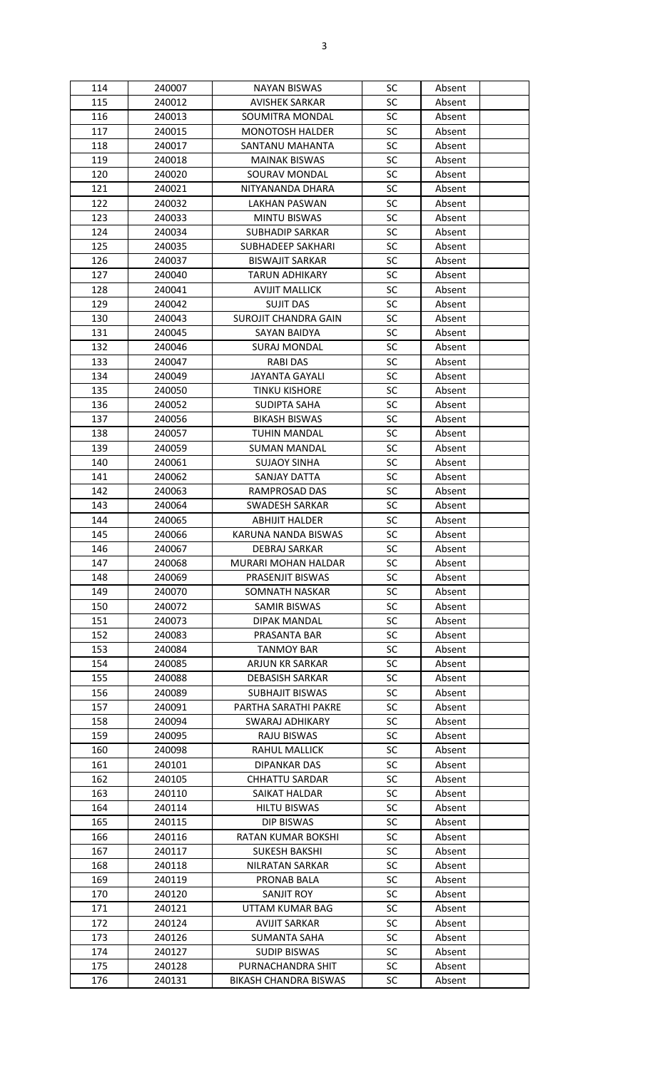| 114 | 240007 | <b>NAYAN BISWAS</b>      | SC        | Absent |
|-----|--------|--------------------------|-----------|--------|
| 115 | 240012 | <b>AVISHEK SARKAR</b>    | SC        | Absent |
| 116 | 240013 | SOUMITRA MONDAL          | SC        | Absent |
| 117 | 240015 | <b>MONOTOSH HALDER</b>   | SC        | Absent |
| 118 | 240017 | SANTANU MAHANTA          | SC        | Absent |
| 119 | 240018 | <b>MAINAK BISWAS</b>     | <b>SC</b> | Absent |
| 120 | 240020 | SOURAV MONDAL            | SC        | Absent |
| 121 | 240021 | NITYANANDA DHARA         | SC        | Absent |
| 122 | 240032 | LAKHAN PASWAN            | SC        | Absent |
| 123 | 240033 |                          | SC        |        |
|     |        | <b>MINTU BISWAS</b>      |           | Absent |
| 124 | 240034 | <b>SUBHADIP SARKAR</b>   | SC        | Absent |
| 125 | 240035 | <b>SUBHADEEP SAKHARI</b> | SC        | Absent |
| 126 | 240037 | <b>BISWAJIT SARKAR</b>   | SC        | Absent |
| 127 | 240040 | <b>TARUN ADHIKARY</b>    | <b>SC</b> | Absent |
| 128 | 240041 | <b>AVIJIT MALLICK</b>    | SC        | Absent |
| 129 | 240042 | <b>SUJIT DAS</b>         | SC        | Absent |
| 130 | 240043 | SUROJIT CHANDRA GAIN     | SC        | Absent |
| 131 | 240045 | SAYAN BAIDYA             | SC        | Absent |
| 132 | 240046 | <b>SURAJ MONDAL</b>      | SC        | Absent |
| 133 | 240047 | <b>RABI DAS</b>          | SC        | Absent |
| 134 | 240049 | <b>JAYANTA GAYALI</b>    | <b>SC</b> | Absent |
| 135 | 240050 | <b>TINKU KISHORE</b>     | <b>SC</b> | Absent |
| 136 | 240052 | <b>SUDIPTA SAHA</b>      | SC        | Absent |
| 137 | 240056 | <b>BIKASH BISWAS</b>     | SC        | Absent |
| 138 | 240057 | TUHIN MANDAL             | <b>SC</b> |        |
|     |        |                          |           | Absent |
| 139 | 240059 | <b>SUMAN MANDAL</b>      | <b>SC</b> | Absent |
| 140 | 240061 | <b>SUJAOY SINHA</b>      | SC        | Absent |
| 141 | 240062 | SANJAY DATTA             | SC        | Absent |
| 142 | 240063 | RAMPROSAD DAS            | <b>SC</b> | Absent |
| 143 | 240064 | <b>SWADESH SARKAR</b>    | SC        | Absent |
| 144 | 240065 | <b>ABHIJIT HALDER</b>    | SC        | Absent |
| 145 | 240066 | KARUNA NANDA BISWAS      | SC        | Absent |
| 146 | 240067 | <b>DEBRAJ SARKAR</b>     | SC        | Absent |
| 147 | 240068 | MURARI MOHAN HALDAR      | SC        | Absent |
| 148 | 240069 | PRASENJIT BISWAS         | SC        | Absent |
| 149 | 240070 | SOMNATH NASKAR           | <b>SC</b> | Absent |
| 150 | 240072 | <b>SAMIR BISWAS</b>      | SC        | Absent |
| 151 | 240073 | DIPAK MANDAL             | <b>SC</b> | Absent |
| 152 | 240083 | PRASANTA BAR             | SC        | Absent |
| 153 | 240084 | <b>TANMOY BAR</b>        | SC        | Absent |
| 154 | 240085 | ARJUN KR SARKAR          | <b>SC</b> | Absent |
|     |        |                          |           |        |
| 155 | 240088 | <b>DEBASISH SARKAR</b>   | SC        | Absent |
| 156 | 240089 | <b>SUBHAJIT BISWAS</b>   | SC        | Absent |
| 157 | 240091 | PARTHA SARATHI PAKRE     | SC        | Absent |
| 158 | 240094 | SWARAJ ADHIKARY          | SC        | Absent |
| 159 | 240095 | RAJU BISWAS              | SC        | Absent |
| 160 | 240098 | RAHUL MALLICK            | SC        | Absent |
| 161 | 240101 | DIPANKAR DAS             | <b>SC</b> | Absent |
| 162 | 240105 | <b>CHHATTU SARDAR</b>    | <b>SC</b> | Absent |
| 163 | 240110 | SAIKAT HALDAR            | SC        | Absent |
| 164 | 240114 | <b>HILTU BISWAS</b>      | SC        | Absent |
| 165 | 240115 | <b>DIP BISWAS</b>        | <b>SC</b> | Absent |
| 166 | 240116 | RATAN KUMAR BOKSHI       | SC        | Absent |
| 167 | 240117 | <b>SUKESH BAKSHI</b>     | SC        | Absent |
| 168 | 240118 | <b>NILRATAN SARKAR</b>   | SC        | Absent |
| 169 | 240119 | <b>PRONAB BALA</b>       | <b>SC</b> | Absent |
| 170 | 240120 | SANJIT ROY               | <b>SC</b> | Absent |
| 171 | 240121 | UTTAM KUMAR BAG          | SC        | Absent |
| 172 | 240124 | <b>AVIJIT SARKAR</b>     | <b>SC</b> | Absent |
|     |        |                          |           |        |
| 173 | 240126 | <b>SUMANTA SAHA</b>      | <b>SC</b> | Absent |
| 174 | 240127 | <b>SUDIP BISWAS</b>      | <b>SC</b> | Absent |
| 175 | 240128 | PURNACHANDRA SHIT        | <b>SC</b> | Absent |
| 176 | 240131 | BIKASH CHANDRA BISWAS    | SC        | Absent |